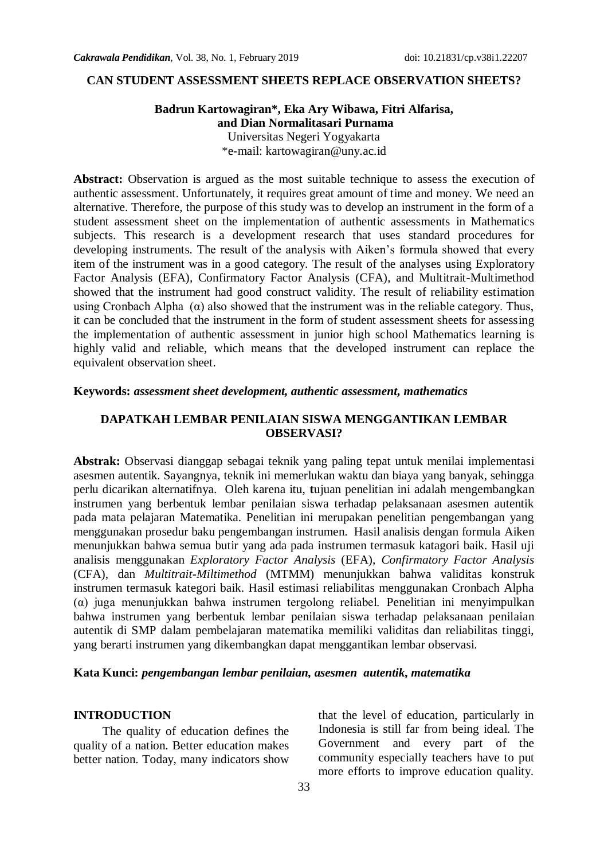#### **CAN STUDENT ASSESSMENT SHEETS REPLACE OBSERVATION SHEETS?**

## **Badrun Kartowagiran\*, Eka Ary Wibawa, Fitri Alfarisa, and Dian Normalitasari Purnama** Universitas Negeri Yogyakarta

\*e-mail: [kartowagiran@uny.ac.id](mailto:kartowagiran@uny.ac.id)

**Abstract:** Observation is argued as the most suitable technique to assess the execution of authentic assessment. Unfortunately, it requires great amount of time and money. We need an alternative. Therefore, the purpose of this study was to develop an instrument in the form of a student assessment sheet on the implementation of authentic assessments in Mathematics subjects. This research is a development research that uses standard procedures for developing instruments. The result of the analysis with Aiken's formula showed that every item of the instrument was in a good category. The result of the analyses using Exploratory Factor Analysis (EFA), Confirmatory Factor Analysis (CFA), and Multitrait-Multimethod showed that the instrument had good construct validity. The result of reliability estimation using Cronbach Alpha  $(\alpha)$  also showed that the instrument was in the reliable category. Thus, it can be concluded that the instrument in the form of student assessment sheets for assessing the implementation of authentic assessment in junior high school Mathematics learning is highly valid and reliable, which means that the developed instrument can replace the equivalent observation sheet.

### **Keywords:** *assessment sheet development, authentic assessment, mathematics*

## **DAPATKAH LEMBAR PENILAIAN SISWA MENGGANTIKAN LEMBAR OBSERVASI?**

**Abstrak:** Observasi dianggap sebagai teknik yang paling tepat untuk menilai implementasi asesmen autentik. Sayangnya, teknik ini memerlukan waktu dan biaya yang banyak, sehingga perlu dicarikan alternatifnya. Oleh karena itu, **t**ujuan penelitian ini adalah mengembangkan instrumen yang berbentuk lembar penilaian siswa terhadap pelaksanaan asesmen autentik pada mata pelajaran Matematika. Penelitian ini merupakan penelitian pengembangan yang menggunakan prosedur baku pengembangan instrumen. Hasil analisis dengan formula Aiken menunjukkan bahwa semua butir yang ada pada instrumen termasuk katagori baik. Hasil uji analisis menggunakan *Exploratory Factor Analysis* (EFA), *Confirmatory Factor Analysis* (CFA), dan *Multitrait-Miltimethod* (MTMM) menunjukkan bahwa validitas konstruk instrumen termasuk kategori baik. Hasil estimasi reliabilitas menggunakan Cronbach Alpha (α) juga menunjukkan bahwa instrumen tergolong reliabel. Penelitian ini menyimpulkan bahwa instrumen yang berbentuk lembar penilaian siswa terhadap pelaksanaan penilaian autentik di SMP dalam pembelajaran matematika memiliki validitas dan reliabilitas tinggi, yang berarti instrumen yang dikembangkan dapat menggantikan lembar observasi.

### **Kata Kunci:** *pengembangan lembar penilaian, asesmen autentik, matematika*

#### **INTRODUCTION**

The quality of education defines the quality of a nation. Better education makes better nation. Today, many indicators show that the level of education, particularly in Indonesia is still far from being ideal. The Government and every part of the community especially teachers have to put more efforts to improve education quality.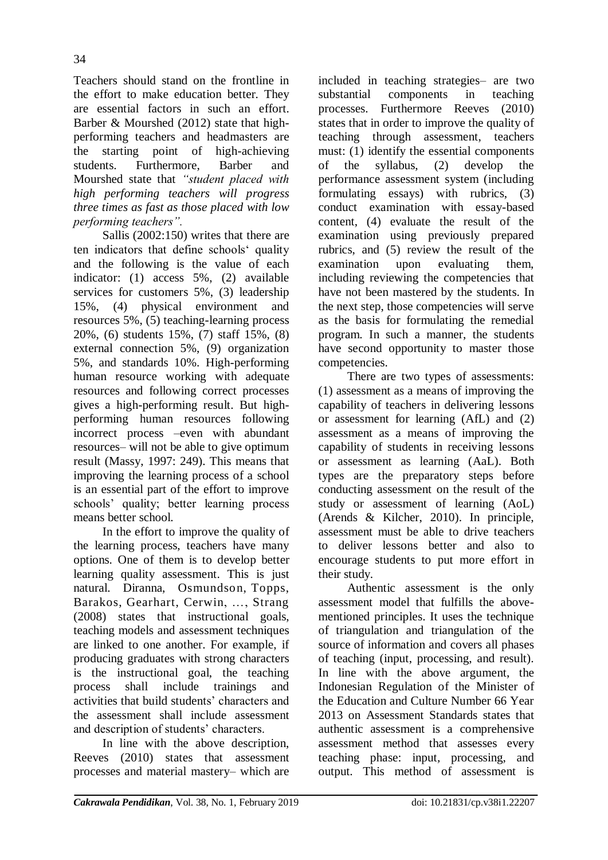Teachers should stand on the frontline in the effort to make education better. They are essential factors in such an effort. Barber & Mourshed (2012) state that highperforming teachers and headmasters are the starting point of high-achieving students. Furthermore, Barber and Mourshed state that *"student placed with high performing teachers will progress three times as fast as those placed with low performing teachers".*

Sallis (2002:150) writes that there are ten indicators that define schools' quality and the following is the value of each indicator: (1) access 5%, (2) available services for customers 5%, (3) leadership 15%, (4) physical environment and resources 5%, (5) teaching-learning process 20%, (6) students 15%, (7) staff 15%, (8) external connection 5%, (9) organization 5%, and standards 10%. High-performing human resource working with adequate resources and following correct processes gives a high-performing result. But highperforming human resources following incorrect process –even with abundant resources– will not be able to give optimum result (Massy, 1997: 249). This means that improving the learning process of a school is an essential part of the effort to improve schools" quality; better learning process means better school.

In the effort to improve the quality of the learning process, teachers have many options. One of them is to develop better learning quality assessment. This is just natural. Diranna, Osmundson, [Topps,](https://www.wested.org/personnel/jo-topps/) Barakos, Gearhart, [Cerwin,](https://www.wested.org/personnel/karen-cerwin/) …, Strang (2008) states that instructional goals, teaching models and assessment techniques are linked to one another. For example, if producing graduates with strong characters is the instructional goal, the teaching process shall include trainings and activities that build students" characters and the assessment shall include assessment and description of students' characters.

In line with the above description, Reeves (2010) states that assessment processes and material mastery– which are included in teaching strategies– are two substantial components in teaching processes. Furthermore Reeves (2010) states that in order to improve the quality of teaching through assessment, teachers must: (1) identify the essential components of the syllabus, (2) develop the performance assessment system (including formulating essays) with rubrics, (3) conduct examination with essay-based content, (4) evaluate the result of the examination using previously prepared rubrics, and (5) review the result of the examination upon evaluating them, including reviewing the competencies that have not been mastered by the students. In the next step, those competencies will serve as the basis for formulating the remedial program. In such a manner, the students have second opportunity to master those competencies.

There are two types of assessments: (1) assessment as a means of improving the capability of teachers in delivering lessons or assessment for learning (AfL) and (2) assessment as a means of improving the capability of students in receiving lessons or assessment as learning (AaL). Both types are the preparatory steps before conducting assessment on the result of the study or assessment of learning (AoL) (Arends & Kilcher, 2010). In principle, assessment must be able to drive teachers to deliver lessons better and also to encourage students to put more effort in their study.

Authentic assessment is the only assessment model that fulfills the abovementioned principles. It uses the technique of triangulation and triangulation of the source of information and covers all phases of teaching (input, processing, and result). In line with the above argument, the Indonesian Regulation of the Minister of the Education and Culture Number 66 Year 2013 on Assessment Standards states that authentic assessment is a comprehensive assessment method that assesses every teaching phase: input*,* processing, and output. This method of assessment is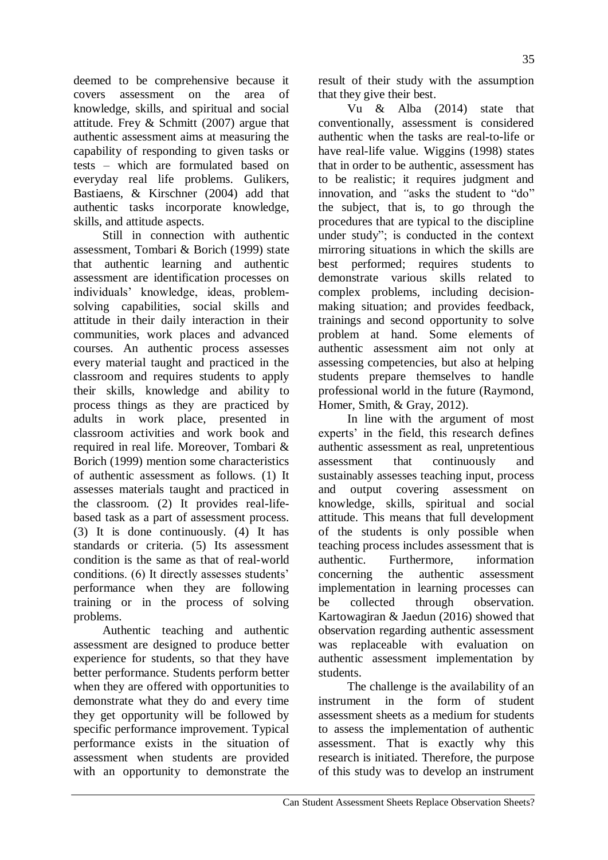deemed to be comprehensive because it covers assessment on the area of knowledge, skills, and spiritual and social attitude. Frey & Schmitt (2007) argue that authentic assessment aims at measuring the capability of responding to given tasks or tests – which are formulated based on everyday real life problems. Gulikers, Bastiaens, & Kirschner (2004) add that authentic tasks incorporate knowledge, skills, and attitude aspects.

Still in connection with authentic assessment, Tombari & Borich (1999) state that authentic learning and authentic assessment are identification processes on individuals" knowledge, ideas, problemsolving capabilities, social skills and attitude in their daily interaction in their communities, work places and advanced courses. An authentic process assesses every material taught and practiced in the classroom and requires students to apply their skills, knowledge and ability to process things as they are practiced by adults in work place, presented in classroom activities and work book and required in real life. Moreover, Tombari & Borich (1999) mention some characteristics of authentic assessment as follows. (1) It assesses materials taught and practiced in the classroom. (2) It provides real-lifebased task as a part of assessment process. (3) It is done continuously. (4) It has standards or criteria. (5) Its assessment condition is the same as that of real-world conditions. (6) It directly assesses students" performance when they are following training or in the process of solving problems.

Authentic teaching and authentic assessment are designed to produce better experience for students, so that they have better performance. Students perform better when they are offered with opportunities to demonstrate what they do and every time they get opportunity will be followed by specific performance improvement. Typical performance exists in the situation of assessment when students are provided with an opportunity to demonstrate the result of their study with the assumption that they give their best.

Vu & Alba (2014) state that conventionally, assessment is considered authentic when the tasks are real-to-life or have real-life value. Wiggins (1998) states that in order to be authentic, assessment has to be realistic; it requires judgment and innovation, and *"*asks the student to "do" the subject, that is, to go through the procedures that are typical to the discipline under study"; is conducted in the context mirroring situations in which the skills are best performed; requires students to demonstrate various skills related to complex problems, including decisionmaking situation; and provides feedback, trainings and second opportunity to solve problem at hand. Some elements of authentic assessment aim not only at assessing competencies, but also at helping students prepare themselves to handle professional world in the future (Raymond, Homer, Smith, & Gray, 2012).

In line with the argument of most experts' in the field, this research defines authentic assessment as real, unpretentious assessment that continuously and sustainably assesses teaching input, process and output covering assessment on knowledge, skills, spiritual and social attitude. This means that full development of the students is only possible when teaching process includes assessment that is authentic. Furthermore, information concerning the authentic assessment implementation in learning processes can be collected through observation. Kartowagiran & Jaedun (2016) showed that observation regarding authentic assessment was replaceable with evaluation on authentic assessment implementation by students.

The challenge is the availability of an instrument in the form of student assessment sheets as a medium for students to assess the implementation of authentic assessment. That is exactly why this research is initiated. Therefore, the purpose of this study was to develop an instrument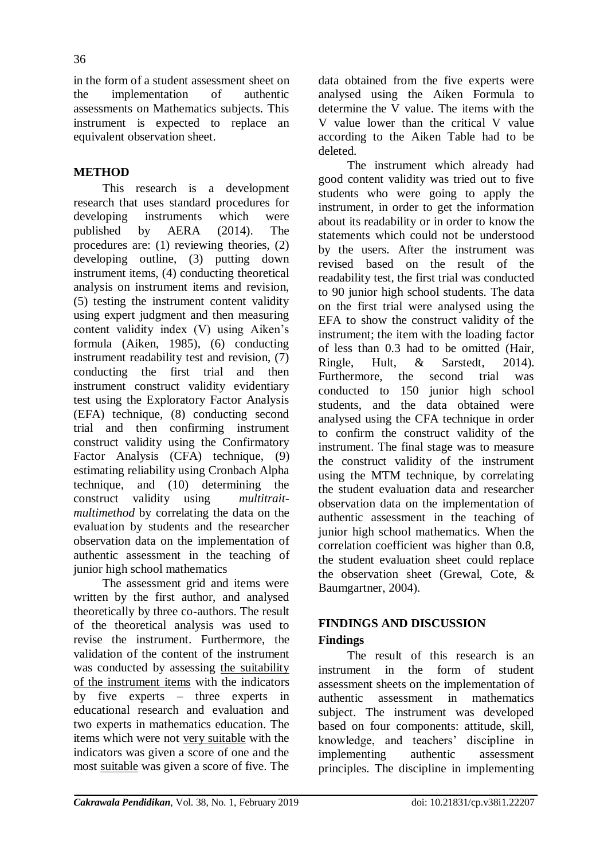in the form of a student assessment sheet on the implementation of authentic assessments on Mathematics subjects. This instrument is expected to replace an equivalent observation sheet.

# **METHOD**

This research is a development research that uses standard procedures for developing instruments which were<br>nublished by AFRA (2014). The published by  $AERA$  (2014). procedures are: (1) reviewing theories, (2) developing outline, (3) putting down instrument items, (4) conducting theoretical analysis on instrument items and revision, (5) testing the instrument content validity using expert judgment and then measuring content validity index (V) using Aiken's formula (Aiken, 1985), (6) conducting instrument readability test and revision, (7) conducting the first trial and then instrument construct validity evidentiary test using the Exploratory Factor Analysis (EFA) technique, (8) conducting second trial and then confirming instrument construct validity using the Confirmatory Factor Analysis (CFA) technique, (9) estimating reliability using Cronbach Alpha technique*,* and (10) determining the construct validity using *multitraitmultimethod* by correlating the data on the evaluation by students and the researcher observation data on the implementation of authentic assessment in the teaching of junior high school mathematics

The assessment grid and items were written by the first author, and analysed theoretically by three co-authors. The result of the theoretical analysis was used to revise the instrument. Furthermore, the validation of the content of the instrument was conducted by assessing the suitability of the instrument items with the indicators by five experts – three experts in educational research and evaluation and two experts in mathematics education. The items which were not very suitable with the indicators was given a score of one and the most suitable was given a score of five. The

data obtained from the five experts were analysed using the Aiken Formula to determine the V value. The items with the V value lower than the critical V value according to the Aiken Table had to be deleted.

The instrument which already had good content validity was tried out to five students who were going to apply the instrument, in order to get the information about its readability or in order to know the statements which could not be understood by the users. After the instrument was revised based on the result of the readability test, the first trial was conducted to 90 junior high school students. The data on the first trial were analysed using the EFA to show the construct validity of the instrument; the item with the loading factor of less than 0.3 had to be omitted (Hair, Ringle, Hult, & Sarstedt, 2014). Furthermore, the second trial was conducted to 150 junior high school students, and the data obtained were analysed using the CFA technique in order to confirm the construct validity of the instrument. The final stage was to measure the construct validity of the instrument using the MTM technique, by correlating the student evaluation data and researcher observation data on the implementation of authentic assessment in the teaching of junior high school mathematics. When the correlation coefficient was higher than 0.8, the student evaluation sheet could replace the observation sheet (Grewal, Cote, & Baumgartner, 2004).

# **FINDINGS AND DISCUSSION Findings**

The result of this research is an instrument in the form of student assessment sheets on the implementation of authentic assessment in mathematics subject. The instrument was developed based on four components: attitude, skill, knowledge, and teachers' discipline in implementing authentic assessment principles. The discipline in implementing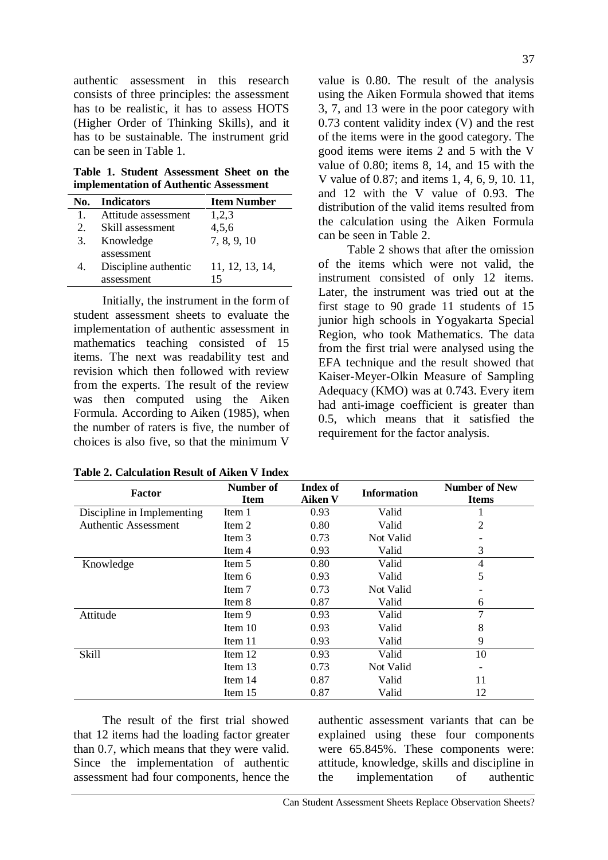authentic assessment in this research consists of three principles: the assessment has to be realistic, it has to assess HOTS (Higher Order of Thinking Skills), and it has to be sustainable. The instrument grid can be seen in Table 1.

**Table 1. Student Assessment Sheet on the implementation of Authentic Assessment** 

|              | No. Indicators       | <b>Item Number</b> |
|--------------|----------------------|--------------------|
| $\mathbf{1}$ | Attitude assessment  | 1,2,3              |
| 2.           | Skill assessment     | 4,5,6              |
| 3.           | Knowledge            | 7, 8, 9, 10        |
|              | assessment           |                    |
| 4.           | Discipline authentic | 11, 12, 13, 14,    |
|              | assessment           |                    |

Initially, the instrument in the form of student assessment sheets to evaluate the implementation of authentic assessment in mathematics teaching consisted of 15 items. The next was readability test and revision which then followed with review from the experts. The result of the review was then computed using the Aiken Formula. According to Aiken (1985), when the number of raters is five, the number of choices is also five, so that the minimum V

value is 0.80. The result of the analysis using the Aiken Formula showed that items 3, 7, and 13 were in the poor category with 0.73 content validity index (V) and the rest of the items were in the good category. The good items were items 2 and 5 with the V value of 0.80; items 8, 14, and 15 with the V value of 0.87; and items 1, 4, 6, 9, 10. 11, and 12 with the V value of 0.93. The distribution of the valid items resulted from the calculation using the Aiken Formula can be seen in Table 2.

Table 2 shows that after the omission of the items which were not valid, the instrument consisted of only 12 items. Later, the instrument was tried out at the first stage to 90 grade 11 students of 15 junior high schools in Yogyakarta Special Region, who took Mathematics. The data from the first trial were analysed using the EFA technique and the result showed that Kaiser-Meyer-Olkin Measure of Sampling Adequacy (KMO) was at 0.743. Every item had anti-image coefficient is greater than 0.5, which means that it satisfied the requirement for the factor analysis.

| <b>Factor</b>              | Number of<br><b>Item</b> | Index of<br><b>Aiken V</b> | <b>Information</b> | <b>Number of New</b><br><b>Items</b> |
|----------------------------|--------------------------|----------------------------|--------------------|--------------------------------------|
| Discipline in Implementing | Item 1                   | 0.93                       | Valid              |                                      |
| Authentic Assessment       | Item 2                   | 0.80                       | Valid              | $\overline{2}$                       |
|                            | Item 3                   | 0.73                       | Not Valid          |                                      |
|                            | Item 4                   | 0.93                       | Valid              | 3                                    |
| Knowledge                  | Item 5                   | 0.80                       | Valid              | 4                                    |
|                            | Item 6                   | 0.93                       | Valid              | 5                                    |
|                            | Item 7                   | 0.73                       | Not Valid          |                                      |
|                            | Item 8                   | 0.87                       | Valid              | 6                                    |
| Attitude                   | Item 9                   | 0.93                       | Valid              | 7                                    |
|                            | Item $10$                | 0.93                       | Valid              | 8                                    |
|                            | Item 11                  | 0.93                       | Valid              | 9                                    |
| <b>Skill</b>               | Item 12                  | 0.93                       | Valid              | 10                                   |
|                            | Item $13$                | 0.73                       | Not Valid          |                                      |
|                            | Item $14$                | 0.87                       | Valid              | 11                                   |
|                            | Item $15$                | 0.87                       | Valid              | 12                                   |

The result of the first trial showed that 12 items had the loading factor greater than 0.7, which means that they were valid. Since the implementation of authentic assessment had four components, hence the authentic assessment variants that can be explained using these four components were 65.845%. These components were: attitude, knowledge, skills and discipline in the implementation of authentic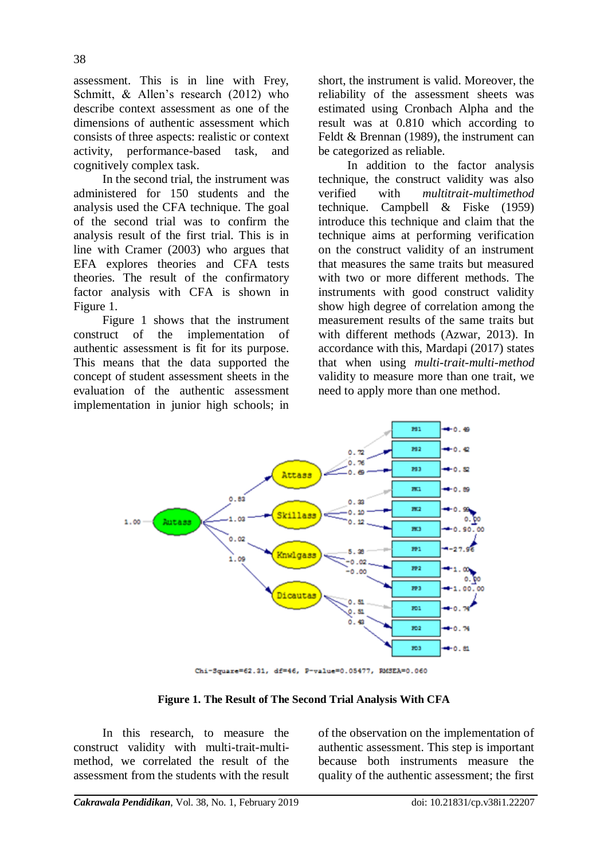assessment. This is in line with Frey, Schmitt, & Allen's research (2012) who describe context assessment as one of the dimensions of authentic assessment which consists of three aspects: realistic or context activity, performance-based task, and cognitively complex task.

In the second trial, the instrument was administered for 150 students and the analysis used the CFA technique. The goal of the second trial was to confirm the analysis result of the first trial. This is in line with Cramer (2003) who argues that EFA explores theories and CFA tests theories. The result of the confirmatory factor analysis with CFA is shown in Figure 1.

Figure 1 shows that the instrument construct of the implementation of authentic assessment is fit for its purpose. This means that the data supported the concept of student assessment sheets in the evaluation of the authentic assessment implementation in junior high schools; in short, the instrument is valid. Moreover, the reliability of the assessment sheets was estimated using Cronbach Alpha and the result was at 0.810 which according to Feldt & Brennan (1989), the instrument can be categorized as reliable.

In addition to the factor analysis technique, the construct validity was also verified with *multitrait-multimethod*  technique. Campbell & Fiske (1959) introduce this technique and claim that the technique aims at performing verification on the construct validity of an instrument that measures the same traits but measured with two or more different methods. The instruments with good construct validity show high degree of correlation among the measurement results of the same traits but with different methods (Azwar, 2013). In accordance with this, Mardapi (2017) states that when using *multi-trait-multi-method*  validity to measure more than one trait, we need to apply more than one method.



Chi-Square=62.31, df=46, P-value=0.05477, RMSEA=0.060

**Figure 1. The Result of The Second Trial Analysis With CFA**

In this research, to measure the construct validity with multi-trait-multimethod, we correlated the result of the assessment from the students with the result of the observation on the implementation of authentic assessment. This step is important because both instruments measure the quality of the authentic assessment; the first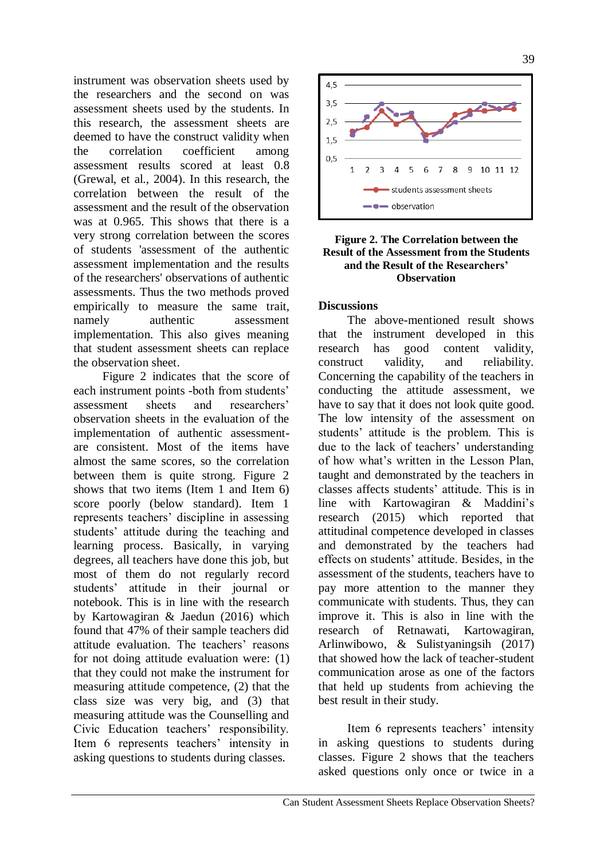instrument was observation sheets used by the researchers and the second on was assessment sheets used by the students. In this research, the assessment sheets are deemed to have the construct validity when the correlation coefficient among assessment results scored at least 0.8 (Grewal, et al., 2004). In this research, the correlation between the result of the assessment and the result of the observation was at 0.965. This shows that there is a very strong correlation between the scores of students 'assessment of the authentic assessment implementation and the results of the researchers' observations of authentic assessments. Thus the two methods proved empirically to measure the same trait, namely authentic assessment implementation. This also gives meaning that student assessment sheets can replace the observation sheet.

Figure 2 indicates that the score of each instrument points -both from students' assessment sheets and researchers" observation sheets in the evaluation of the implementation of authentic assessmentare consistent. Most of the items have almost the same scores, so the correlation between them is quite strong. Figure 2 shows that two items (Item 1 and Item 6) score poorly (below standard). Item 1 represents teachers" discipline in assessing students" attitude during the teaching and learning process. Basically, in varying degrees, all teachers have done this job, but most of them do not regularly record students" attitude in their journal or notebook. This is in line with the research by Kartowagiran & Jaedun (2016) which found that 47% of their sample teachers did attitude evaluation. The teachers' reasons for not doing attitude evaluation were: (1) that they could not make the instrument for measuring attitude competence, (2) that the class size was very big, and (3) that measuring attitude was the Counselling and Civic Education teachers' responsibility. Item 6 represents teachers' intensity in asking questions to students during classes.



### **Figure 2. The Correlation between the Result of the Assessment from the Students and the Result of the Researchers' Observation**

## **Discussions**

The above-mentioned result shows that the instrument developed in this research has good content validity, construct validity, and reliability. Concerning the capability of the teachers in conducting the attitude assessment, we have to say that it does not look quite good. The low intensity of the assessment on students' attitude is the problem. This is due to the lack of teachers' understanding of how what"s written in the Lesson Plan, taught and demonstrated by the teachers in classes affects students" attitude. This is in line with Kartowagiran & Maddini"s research (2015) which reported that attitudinal competence developed in classes and demonstrated by the teachers had effects on students" attitude. Besides, in the assessment of the students, teachers have to pay more attention to the manner they communicate with students. Thus, they can improve it. This is also in line with the research of Retnawati, Kartowagiran, Arlinwibowo, & Sulistyaningsih (2017) that showed how the lack of teacher-student communication arose as one of the factors that held up students from achieving the best result in their study.

Item 6 represents teachers' intensity in asking questions to students during classes. Figure 2 shows that the teachers asked questions only once or twice in a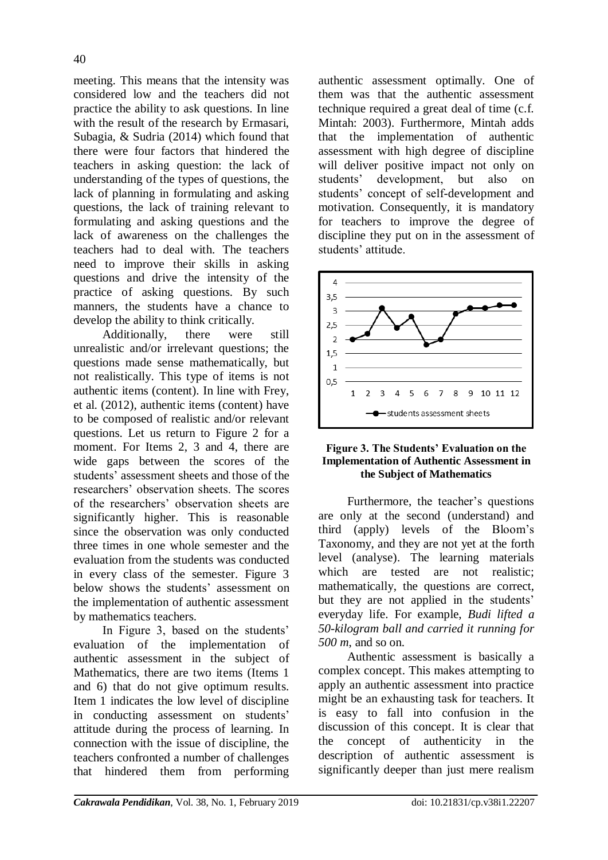meeting. This means that the intensity was considered low and the teachers did not practice the ability to ask questions. In line with the result of the research by Ermasari, Subagia, & Sudria (2014) which found that there were four factors that hindered the teachers in asking question: the lack of understanding of the types of questions, the lack of planning in formulating and asking questions, the lack of training relevant to formulating and asking questions and the lack of awareness on the challenges the teachers had to deal with. The teachers need to improve their skills in asking questions and drive the intensity of the practice of asking questions. By such manners, the students have a chance to develop the ability to think critically.

Additionally, there were still unrealistic and/or irrelevant questions; the questions made sense mathematically, but not realistically. This type of items is not authentic items (content). In line with Frey, et al. (2012), authentic items (content) have to be composed of realistic and/or relevant questions. Let us return to Figure 2 for a moment. For Items 2, 3 and 4, there are wide gaps between the scores of the students' assessment sheets and those of the researchers" observation sheets. The scores of the researchers" observation sheets are significantly higher. This is reasonable since the observation was only conducted three times in one whole semester and the evaluation from the students was conducted in every class of the semester. Figure 3 below shows the students' assessment on the implementation of authentic assessment by mathematics teachers.

In Figure 3, based on the students' evaluation of the implementation of authentic assessment in the subject of Mathematics, there are two items (Items 1 and 6) that do not give optimum results. Item 1 indicates the low level of discipline in conducting assessment on students' attitude during the process of learning. In connection with the issue of discipline, the teachers confronted a number of challenges that hindered them from performing authentic assessment optimally. One of them was that the authentic assessment technique required a great deal of time (c.f. Mintah: 2003). Furthermore, Mintah adds that the implementation of authentic assessment with high degree of discipline will deliver positive impact not only on students" development, but also on students" concept of self-development and motivation. Consequently, it is mandatory for teachers to improve the degree of discipline they put on in the assessment of students' attitude



### **Figure 3. The Students' Evaluation on the Implementation of Authentic Assessment in the Subject of Mathematics**

Furthermore, the teacher's questions are only at the second (understand) and third (apply) levels of the Bloom"s Taxonomy, and they are not yet at the forth level (analyse). The learning materials which are tested are not realistic; mathematically, the questions are correct, but they are not applied in the students' everyday life. For example, *Budi lifted a 50-kilogram ball and carried it running for 500 m*, and so on.

Authentic assessment is basically a complex concept. This makes attempting to apply an authentic assessment into practice might be an exhausting task for teachers. It is easy to fall into confusion in the discussion of this concept. It is clear that the concept of authenticity in the description of authentic assessment is significantly deeper than just mere realism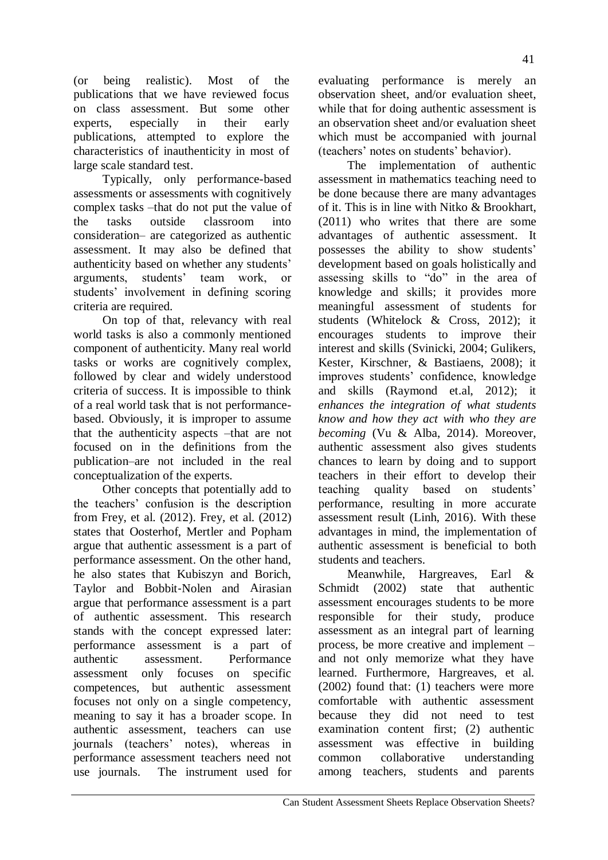(or being realistic). Most of the publications that we have reviewed focus on class assessment. But some other experts, especially in their early publications, attempted to explore the characteristics of inauthenticity in most of large scale standard test.

Typically, only performance-based assessments or assessments with cognitively complex tasks –that do not put the value of the tasks outside classroom into consideration– are categorized as authentic assessment. It may also be defined that authenticity based on whether any students" arguments, students" team work, or students' involvement in defining scoring criteria are required.

On top of that, relevancy with real world tasks is also a commonly mentioned component of authenticity. Many real world tasks or works are cognitively complex, followed by clear and widely understood criteria of success. It is impossible to think of a real world task that is not performancebased. Obviously, it is improper to assume that the authenticity aspects –that are not focused on in the definitions from the publication–are not included in the real conceptualization of the experts.

Other concepts that potentially add to the teachers" confusion is the description from Frey, et al. (2012). Frey, et al. (2012) states that Oosterhof, Mertler and Popham argue that authentic assessment is a part of performance assessment. On the other hand, he also states that Kubiszyn and Borich, Taylor and Bobbit‐Nolen and Airasian argue that performance assessment is a part of authentic assessment. This research stands with the concept expressed later: performance assessment is a part of authentic assessment. Performance assessment only focuses on specific competences, but authentic assessment focuses not only on a single competency, meaning to say it has a broader scope. In authentic assessment, teachers can use journals (teachers" notes), whereas in performance assessment teachers need not use journals. The instrument used for

evaluating performance is merely an observation sheet, and/or evaluation sheet, while that for doing authentic assessment is an observation sheet and/or evaluation sheet which must be accompanied with journal (teachers' notes on students' behavior).

The implementation of authentic assessment in mathematics teaching need to be done because there are many advantages of it. This is in line with Nitko & Brookhart, (2011) who writes that there are some advantages of authentic assessment. It possesses the ability to show students" development based on goals holistically and assessing skills to "do" in the area of knowledge and skills; it provides more meaningful assessment of students for students (Whitelock & Cross, 2012); it encourages students to improve their interest and skills (Svinicki, 2004; Gulikers, Kester, Kirschner, & Bastiaens, 2008); it improves students" confidence, knowledge and skills (Raymond et.al, 2012); it *enhances the integration of what students know and how they act with who they are becoming* (Vu & Alba, 2014). Moreover, authentic assessment also gives students chances to learn by doing and to support teachers in their effort to develop their teaching quality based on students' performance, resulting in more accurate assessment result (Linh, 2016). With these advantages in mind, the implementation of authentic assessment is beneficial to both students and teachers.

Meanwhile, Hargreaves, Earl & Schmidt (2002) state that authentic assessment encourages students to be more responsible for their study, produce assessment as an integral part of learning process, be more creative and implement – and not only memorize what they have learned. Furthermore, Hargreaves, et al. (2002) found that: (1) teachers were more comfortable with authentic assessment because they did not need to test examination content first; (2) authentic assessment was effective in building common collaborative understanding among teachers, students and parents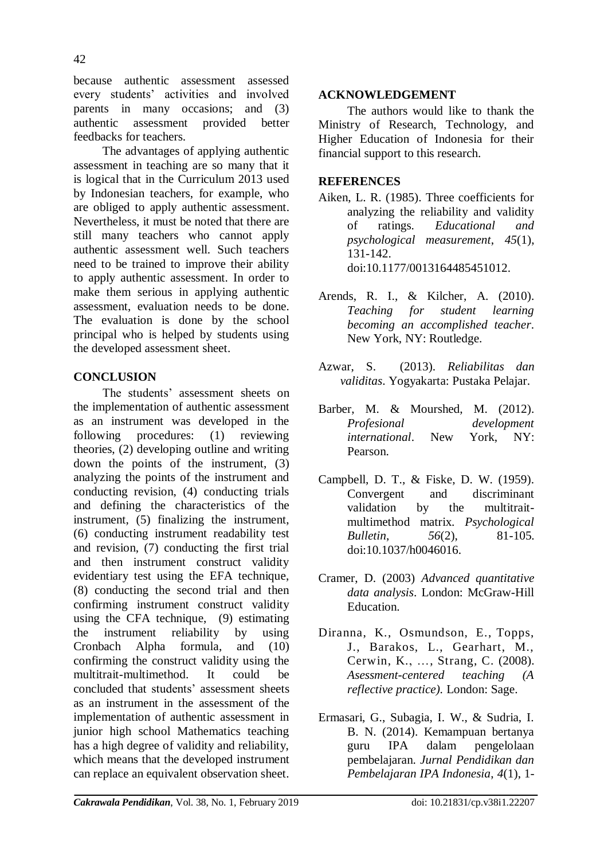because authentic assessment assessed every students" activities and involved parents in many occasions; and (3) authentic assessment provided better feedbacks for teachers.

The advantages of applying authentic assessment in teaching are so many that it is logical that in the Curriculum 2013 used by Indonesian teachers, for example, who are obliged to apply authentic assessment. Nevertheless, it must be noted that there are still many teachers who cannot apply authentic assessment well. Such teachers need to be trained to improve their ability to apply authentic assessment. In order to make them serious in applying authentic assessment, evaluation needs to be done. The evaluation is done by the school principal who is helped by students using the developed assessment sheet.

## **CONCLUSION**

The students" assessment sheets on the implementation of authentic assessment as an instrument was developed in the following procedures: (1) reviewing theories, (2) developing outline and writing down the points of the instrument, (3) analyzing the points of the instrument and conducting revision, (4) conducting trials and defining the characteristics of the instrument, (5) finalizing the instrument, (6) conducting instrument readability test and revision, (7) conducting the first trial and then instrument construct validity evidentiary test using the EFA technique, (8) conducting the second trial and then confirming instrument construct validity using the CFA technique, (9) estimating the instrument reliability by using Cronbach Alpha formula, and (10) confirming the construct validity using the multitrait-multimethod. It could be concluded that students" assessment sheets as an instrument in the assessment of the implementation of authentic assessment in junior high school Mathematics teaching has a high degree of validity and reliability, which means that the developed instrument can replace an equivalent observation sheet.

## **ACKNOWLEDGEMENT**

The authors would like to thank the Ministry of Research, Technology, and Higher Education of Indonesia for their financial support to this research.

## **REFERENCES**

- Aiken, L. R. (1985). Three coefficients for analyzing the reliability and validity of ratings. *Educational and psychological measurement*, *45*(1), 131-142. [doi:10.1177/0013164485451012.](https://doi.org/10.1177%2F0013164485451012)
- Arends, R. I., & Kilcher, A. (2010). *Teaching for student learning becoming an accomplished teacher*. New York, NY: Routledge.
- Azwar, S. (2013). *Reliabilitas dan validitas*. Yogyakarta: Pustaka Pelajar.
- Barber, M. & Mourshed, M. (2012). *Profesional development international*. New York, NY: Pearson.
- Campbell, D. T., & Fiske, D. W. (1959). Convergent and discriminant validation by the multitraitmultimethod matrix. *Psychological Bulletin*, *56*(2), 81-105. [doi:10.1037/h0046016.](http://psycnet.apa.org/doi/10.1037/h0046016)
- Cramer, D. (2003) *Advanced quantitative data analysis*. London: McGraw-Hill Education.
- [Diranna,](https://www.wested.org/personnel/kathy-diranna/) K., Osmundson, E., [Topps,](https://www.wested.org/personnel/jo-topps/) J., Barakos, L., Gearhart, M.[,](https://www.wested.org/personnel/karen-cerwin/) [Cerwin,](https://www.wested.org/personnel/karen-cerwin/) K., …, Strang, C. (2008). *Asessment-centered teaching (A reflective practice).* London: Sage.
- Ermasari, G., Subagia, I. W., & Sudria, I. B. N. (2014). Kemampuan bertanya guru IPA dalam pengelolaan pembelajaran. *Jurnal Pendidikan dan Pembelajaran IPA Indonesia*, *4*(1), 1-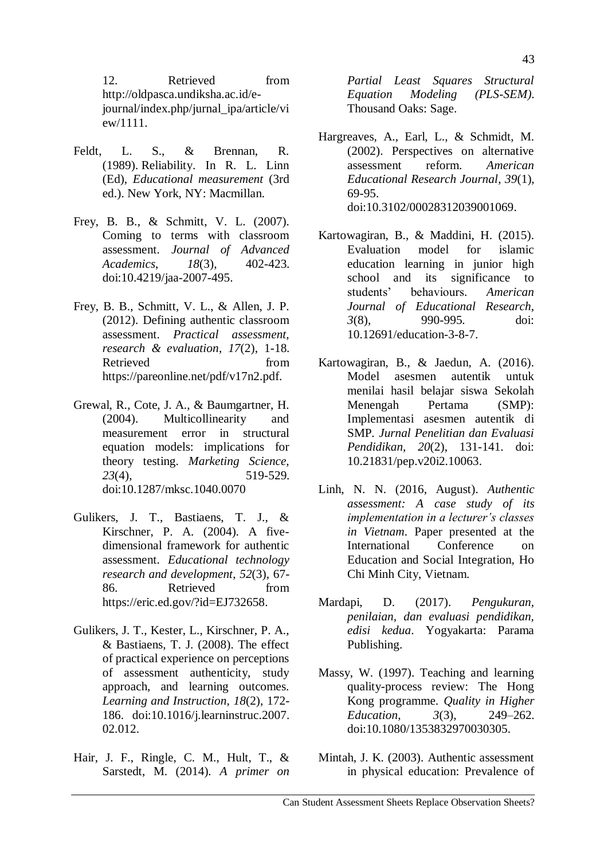12. Retrieved from [http://oldpasca.undiksha.ac.id/e](http://oldpasca.undiksha.ac.id/e-journal/index.php/jurnal_ipa/article/view/1111)[journal/index.php/jurnal\\_ipa/article/vi](http://oldpasca.undiksha.ac.id/e-journal/index.php/jurnal_ipa/article/view/1111) [ew/1111.](http://oldpasca.undiksha.ac.id/e-journal/index.php/jurnal_ipa/article/view/1111)

- Feldt, L. S., & Brennan, R. (1989). Reliability. In R. L. Linn (Ed), *Educational measurement* (3rd ed.). New York, NY: Macmillan.
- Frey, B. B., & Schmitt, V. L. (2007). Coming to terms with classroom assessment. *Journal of Advanced Academics*, *18*(3), 402-423. [doi:10.4219/jaa-2007-495.](https://doi.org/10.4219%2Fjaa-2007-495)
- Frey, B. B., Schmitt, V. L., & Allen, J. P. (2012). Defining authentic classroom assessment. *Practical assessment, research & evaluation*, *17*(2), 1-18. Retrieved from https://pareonline.net/pdf/v17n2.pdf.
- Grewal, R., Cote, J. A., & Baumgartner, H. (2004). Multicollinearity and measurement error in structural equation models: implications for theory testing. *Marketing Science, 23*(4), 519-529. doi:10.1287/mksc.1040.0070
- Gulikers, J. T., Bastiaens, T. J., & Kirschner, P. A. (2004). A fivedimensional framework for authentic assessment. *Educational technology research and development*, *52*(3), 67- 86. Retrieved from https://eric.ed.gov/?id=EJ732658.
- Gulikers, J. T., Kester, L., Kirschner, P. A., & Bastiaens, T. J. (2008). The effect of practical experience on perceptions of assessment authenticity, study approach, and learning outcomes. *Learning and Instruction*, *18*(2), 172- 186. [doi:10.1016/j.learninstruc.2007.](https://doi.org/10.1016/j.learninstruc.2007.02.012) [02.012.](https://doi.org/10.1016/j.learninstruc.2007.02.012)
- Hair, J. F., Ringle, C. M., Hult, T., & Sarstedt, M. (2014). *A primer on*

*Partial Least Squares Structural Equation Modeling (PLS-SEM)*. Thousand Oaks: Sage.

- Hargreaves, A., Earl, L., & Schmidt, M. (2002). Perspectives on alternative assessment reform. *American Educational Research Journal*, *39*(1), 69-95. [doi:10.3102/00028312039001069.](https://doi.org/10.3102%2F00028312039001069)
- Kartowagiran, B., & Maddini, H. (2015). Evaluation model for islamic education learning in junior high school and its significance to students" behaviours. *American Journal of Educational Research*, *3*(8), 990-995. doi: 10.12691/education-3-8-7.
- Kartowagiran, B., & Jaedun, A. (2016). [Model asesmen autentik untuk](https://journal.uny.ac.id/index.php/jpep/article/view/10063)  [menilai hasil belajar siswa Sekolah](https://journal.uny.ac.id/index.php/jpep/article/view/10063)  [Menengah Pertama \(SMP\):](https://journal.uny.ac.id/index.php/jpep/article/view/10063)  [Implementasi asesmen autentik di](https://journal.uny.ac.id/index.php/jpep/article/view/10063)  [SMP](https://journal.uny.ac.id/index.php/jpep/article/view/10063)*. Jurnal Penelitian dan Evaluasi Pendidikan, 20*(2), 131-141. doi: [10.21831/pep.v20i2.10063.](http://dx.doi.org/10.21831/pep.v20i2.10063)
- Linh, N. N. (2016, August). *Authentic assessment: A case study of its implementation in a lecturer's classes in Vietnam*. Paper presented at the International Conference on Education and Social Integration, Ho Chi Minh City, Vietnam.
- Mardapi, D. (2017). *Pengukuran, penilaian, dan evaluasi pendidikan, edisi kedua*. Yogyakarta: Parama Publishing.
- Massy, W. (1997). Teaching and learning quality-process review: The Hong Kong programme. *Quality in Higher Education*, *3*(3), 249–262. doi:10.1080/1353832970030305.
- Mintah, J. K. (2003). Authentic assessment in physical education: Prevalence of